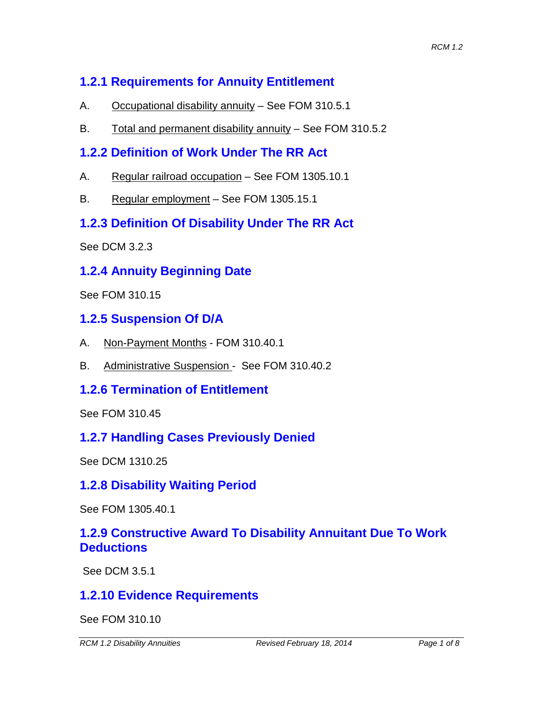# **1.2.1 Requirements for Annuity Entitlement**

- A. Occupational disability annuity See FOM 310.5.1
- B. Total and permanent disability annuity See FOM 310.5.2

## **1.2.2 Definition of Work Under The RR Act**

- A. Regular railroad occupation See FOM 1305.10.1
- B. Regular employment See FOM 1305.15.1

## **1.2.3 Definition Of Disability Under The RR Act**

See DCM 3.2.3

## **1.2.4 Annuity Beginning Date**

See FOM 310.15

### **1.2.5 Suspension Of D/A**

- A. Non-Payment Months FOM 310.40.1
- B. Administrative Suspension See FOM 310.40.2

### **1.2.6 Termination of Entitlement**

See FOM 310.45

### **1.2.7 Handling Cases Previously Denied**

See DCM 1310.25

### **1.2.8 Disability Waiting Period**

See FOM 1305.40.1

## **1.2.9 Constructive Award To Disability Annuitant Due To Work Deductions**

See DCM 3.5.1

### **1.2.10 Evidence Requirements**

See FOM 310.10

*RCM 1.2 Disability Annuities Revised February 18, 2014 Page 1 of 8*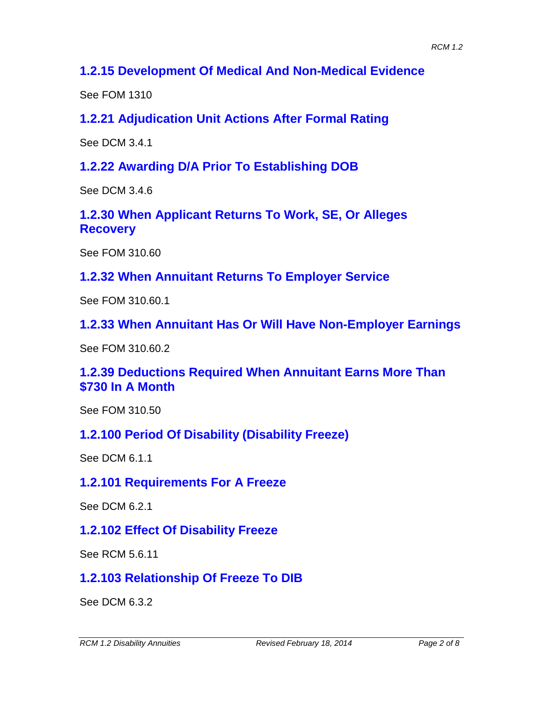## **1.2.15 Development Of Medical And Non-Medical Evidence**

See FOM 1310

**1.2.21 Adjudication Unit Actions After Formal Rating**

See DCM 3.4.1

**1.2.22 Awarding D/A Prior To Establishing DOB**

See DCM 3.4.6

**1.2.30 When Applicant Returns To Work, SE, Or Alleges Recovery**

See FOM 310.60

**1.2.32 When Annuitant Returns To Employer Service**

See FOM 310.60.1

**1.2.33 When Annuitant Has Or Will Have Non-Employer Earnings**

See FOM 310.60.2

**1.2.39 Deductions Required When Annuitant Earns More Than \$730 In A Month**

See FOM 310.50

#### **1.2.100 Period Of Disability (Disability Freeze)**

See DCM 6.1.1

#### **1.2.101 Requirements For A Freeze**

See DCM 6.2.1

#### **1.2.102 Effect Of Disability Freeze**

See RCM 5.6.11

### **1.2.103 Relationship Of Freeze To DIB**

See DCM 6.3.2

*RCM 1.2 Disability Annuities Revised February 18, 2014 Page 2 of 8*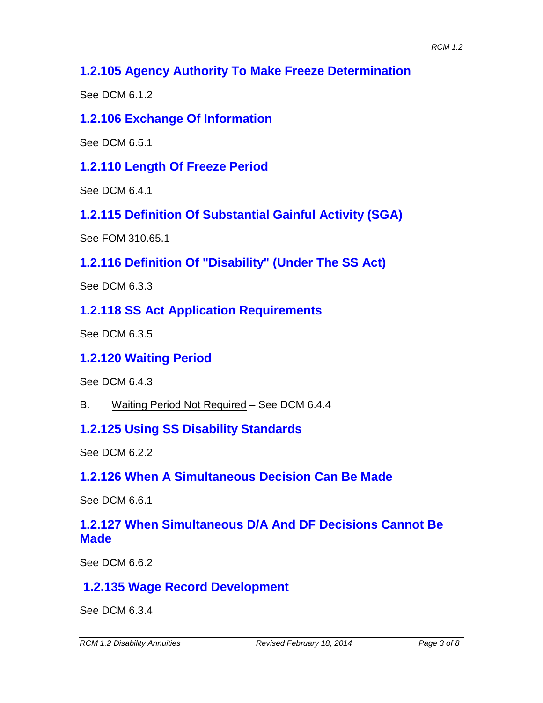## **1.2.105 Agency Authority To Make Freeze Determination**

See DCM 6.1.2

## **1.2.106 Exchange Of Information**

See DCM 6.5.1

**1.2.110 Length Of Freeze Period**

See DCM 6.4.1

**1.2.115 Definition Of Substantial Gainful Activity (SGA)**

See FOM 310.65.1

**1.2.116 Definition Of "Disability" (Under The SS Act)**

See DCM 6.3.3

## **1.2.118 SS Act Application Requirements**

See DCM 6.3.5

## **1.2.120 Waiting Period**

See DCM 6.4.3

B. Waiting Period Not Required – See DCM 6.4.4

## **1.2.125 Using SS Disability Standards**

See DCM 6.2.2

## **1.2.126 When A Simultaneous Decision Can Be Made**

See DCM 6.6.1

## **1.2.127 When Simultaneous D/A And DF Decisions Cannot Be Made**

See DCM 6.6.2

# **1.2.135 Wage Record Development**

See DCM 6.3.4

*RCM 1.2 Disability Annuities Revised February 18, 2014 Page 3 of 8*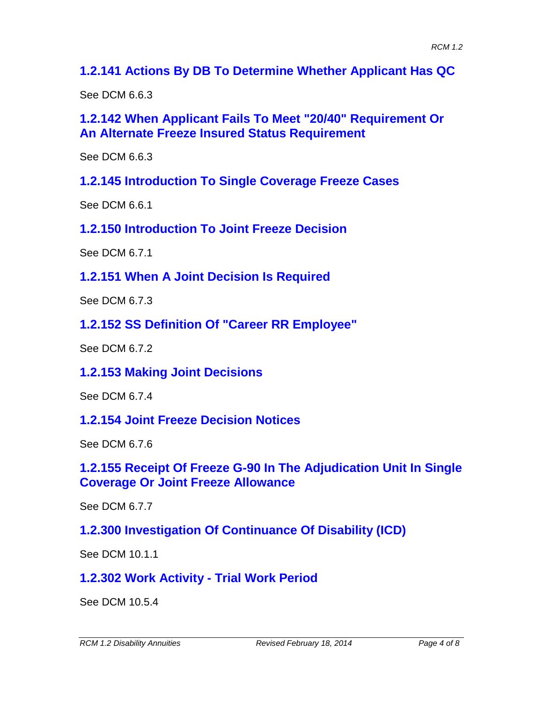**1.2.141 Actions By DB To Determine Whether Applicant Has QC**

See DCM 6.6.3

**1.2.142 When Applicant Fails To Meet "20/40" Requirement Or An Alternate Freeze Insured Status Requirement**

See DCM 6.6.3

**1.2.145 Introduction To Single Coverage Freeze Cases**

See DCM 6.6.1

**1.2.150 Introduction To Joint Freeze Decision**

See DCM 6.7.1

**1.2.151 When A Joint Decision Is Required**

See DCM 6.7.3

**1.2.152 SS Definition Of "Career RR Employee"**

See DCM 6.7.2

**1.2.153 Making Joint Decisions**

See DCM 6.7.4

**1.2.154 Joint Freeze Decision Notices**

See DCM 6.7.6

**1.2.155 Receipt Of Freeze G-90 In The Adjudication Unit In Single Coverage Or Joint Freeze Allowance**

See DCM 6.7.7

**1.2.300 Investigation Of Continuance Of Disability (ICD)**

See DCM 10.1.1

**1.2.302 Work Activity - Trial Work Period**

See DCM 10.5.4

*RCM 1.2 Disability Annuities Revised February 18, 2014 Page 4 of 8*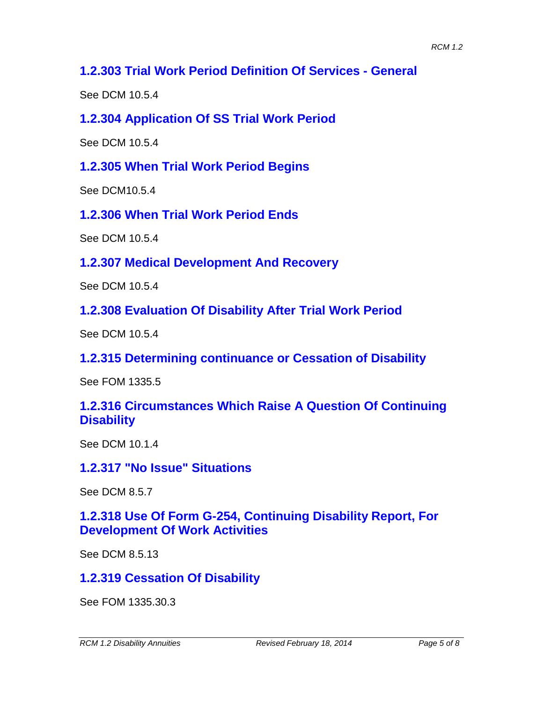### **1.2.303 Trial Work Period Definition Of Services - General**

See DCM 10.5.4

**1.2.304 Application Of SS Trial Work Period**

See DCM 10.5.4

**1.2.305 When Trial Work Period Begins**

See DCM10.5.4

**1.2.306 When Trial Work Period Ends**

See DCM 10.5.4

**1.2.307 Medical Development And Recovery**

See DCM 10.5.4

**1.2.308 Evaluation Of Disability After Trial Work Period**

See DCM 10.5.4

**1.2.315 Determining continuance or Cessation of Disability**

See FOM 1335.5

### **1.2.316 Circumstances Which Raise A Question Of Continuing Disability**

See DCM 10.1.4

#### **1.2.317 "No Issue" Situations**

See DCM 8.5.7

### **1.2.318 Use Of Form G-254, Continuing Disability Report, For Development Of Work Activities**

See DCM 8.5.13

### **1.2.319 Cessation Of Disability**

See FOM 1335.30.3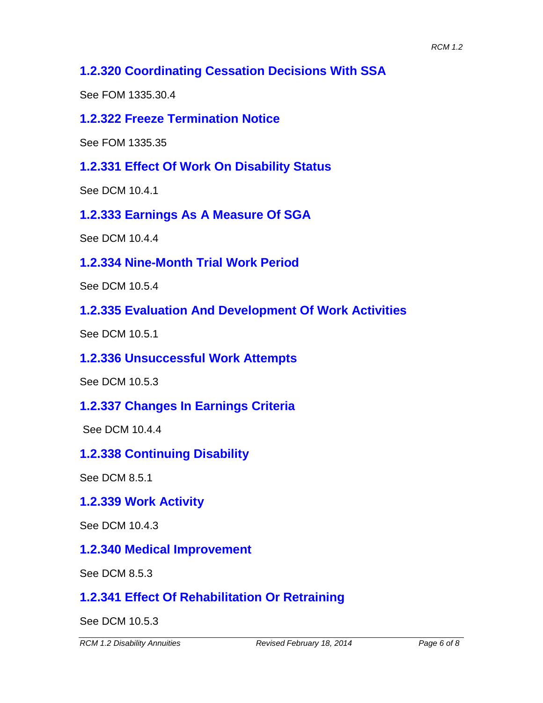## **1.2.320 Coordinating Cessation Decisions With SSA**

See FOM 1335.30.4

#### **1.2.322 Freeze Termination Notice**

See FOM 1335.35

#### **1.2.331 Effect Of Work On Disability Status**

See DCM 10.4.1

**1.2.333 Earnings As A Measure Of SGA**

See DCM 10.4.4

**1.2.334 Nine-Month Trial Work Period**

See DCM 10.5.4

**1.2.335 Evaluation And Development Of Work Activities**

See DCM 10.5.1

#### **1.2.336 Unsuccessful Work Attempts**

See DCM 10.5.3

#### **1.2.337 Changes In Earnings Criteria**

See DCM 10.4.4

#### **1.2.338 Continuing Disability**

See DCM 8.5.1

#### **1.2.339 Work Activity**

See DCM 10.4.3

#### **1.2.340 Medical Improvement**

See DCM 8.5.3

### **1.2.341 Effect Of Rehabilitation Or Retraining**

See DCM 10.5.3

*RCM 1.2 Disability Annuities Revised February 18, 2014 Page 6 of 8*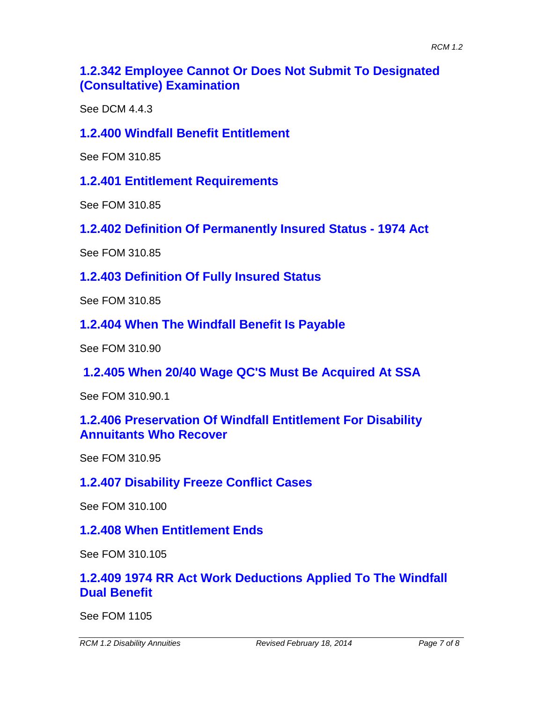## **1.2.342 Employee Cannot Or Does Not Submit To Designated (Consultative) Examination**

See DCM 4.4.3

#### **1.2.400 Windfall Benefit Entitlement**

See FOM 310.85

**1.2.401 Entitlement Requirements**

See FOM 310.85

**1.2.402 Definition Of Permanently Insured Status - 1974 Act**

See FOM 310.85

**1.2.403 Definition Of Fully Insured Status**

See FOM 310.85

**1.2.404 When The Windfall Benefit Is Payable**

See FOM 310.90

**1.2.405 When 20/40 Wage QC'S Must Be Acquired At SSA**

See FOM 310.90.1

#### **1.2.406 Preservation Of Windfall Entitlement For Disability Annuitants Who Recover**

See FOM 310.95

#### **1.2.407 Disability Freeze Conflict Cases**

See FOM 310.100

### **1.2.408 When Entitlement Ends**

See FOM 310.105

### **1.2.409 1974 RR Act Work Deductions Applied To The Windfall Dual Benefit**

See FOM 1105

*RCM 1.2 Disability Annuities Revised February 18, 2014 Page 7 of 8*